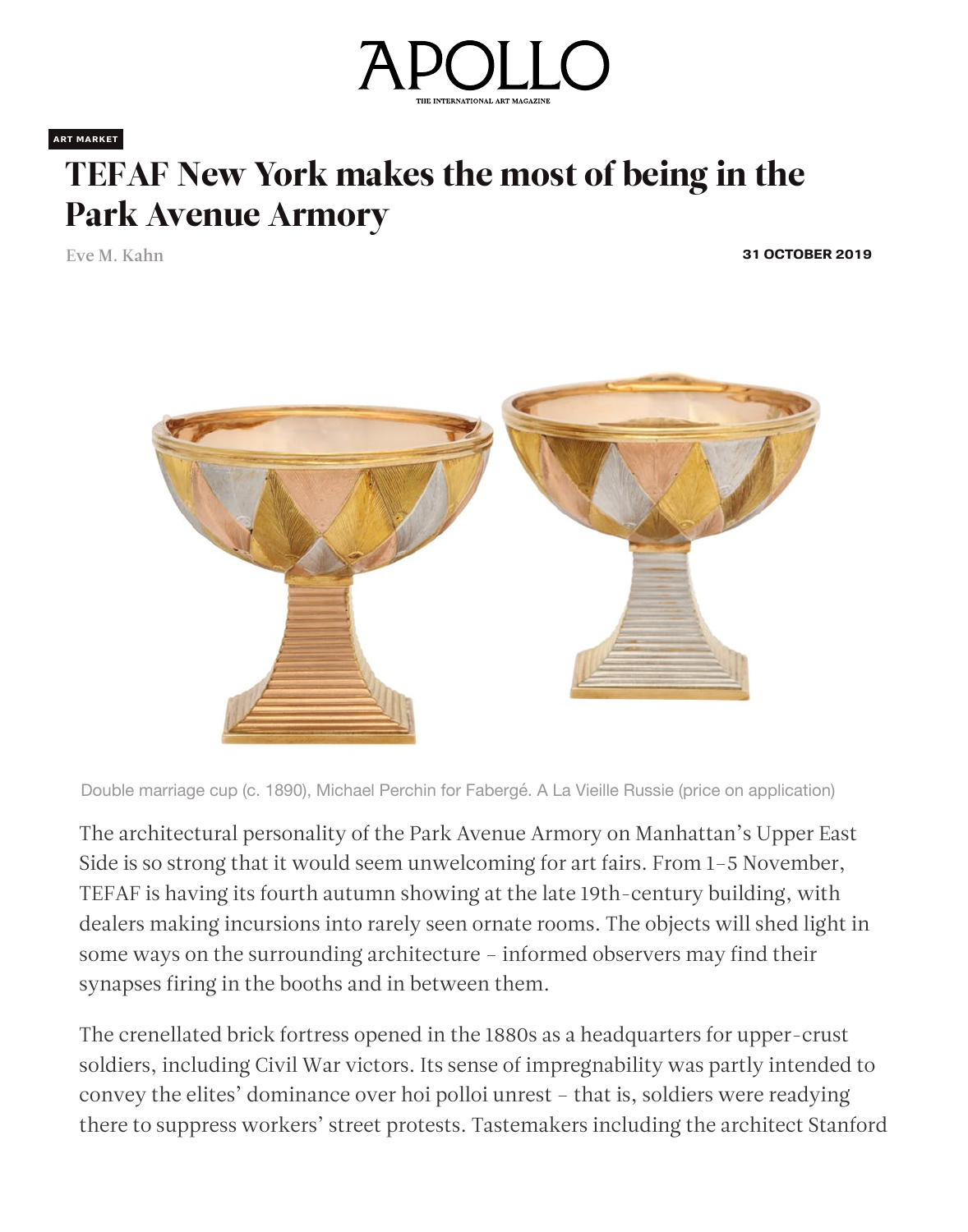

**ART MARKET**

## [TEFAF New York makes the most of being in the](https://googleads.g.doubleclick.net/pcs/click?xai=AKAOjstA4vkB9CX5ETrZPT3Ci5f9LGbJWUHUkrI35y_E6dHV9qvp4thPLOKaXPsqyub4Oo_rE3nEpJVTYyX9Db2RM65XMzB17g-0eKIIbtrMOw3YbOpwuJlKP7pV6vxaGIvDtDvtNoVA7Zad1qgXBaz7o_RLwUX3yzgoQijn2S8l_XW3DF54FoUPAINb3bTyheiu0K5hGXMtIOmHXpfTjiFKamNes1NHThRCK896MhJ6YMErc198m9Qe_Bh_5MrD0SZSxdbLQ5aTy0tHGKVDDqm5yqYiHI8O-A&sai=AMfl-YSaC5PfjyUPYJ9kdbaetwTIT9xddF3QbEod8hiTau-cXKWqb2pgEUqjM1vA7hkIyEgUc1zhFAPOjfre1k-Km8X-K0i5p2457wNO2R8z&sig=Cg0ArKJSzGYjzbyTKfnx&adurl=https://www.ader-paris.fr/vente/99928&nx=CLICK_X&ny=CLICK_Y)  Park Avenue Armory

Eve M. Kahn **31 OCTOBER 2019**



The architectural personality of the Park Avenue Armory on Manhattan's Upper East Side is so strong that it would seem unwelcoming for art fairs. From 1–5 November, TEFAF is having its fourth autumn showing at the late 19th-century building, with dealers making incursions into rarely seen ornate rooms. The objects will shed light in some ways on the surrounding architecture – informed observers may find their synapses firing in the booths and in between them.

The crenellated brick fortress opened in the 1880s as a headquarters for upper-crust soldiers, including Civil War victors. Its sense of impregnability was partly intended to convey the elites' dominance over hoi polloi unrest – that is, soldiers were readying there to suppress workers' street protests. Tastemakers including the architect Stanford

Double marriage cup (c. 1890), Michael Perchin for Fabergé. A La Vieille Russie (price on application)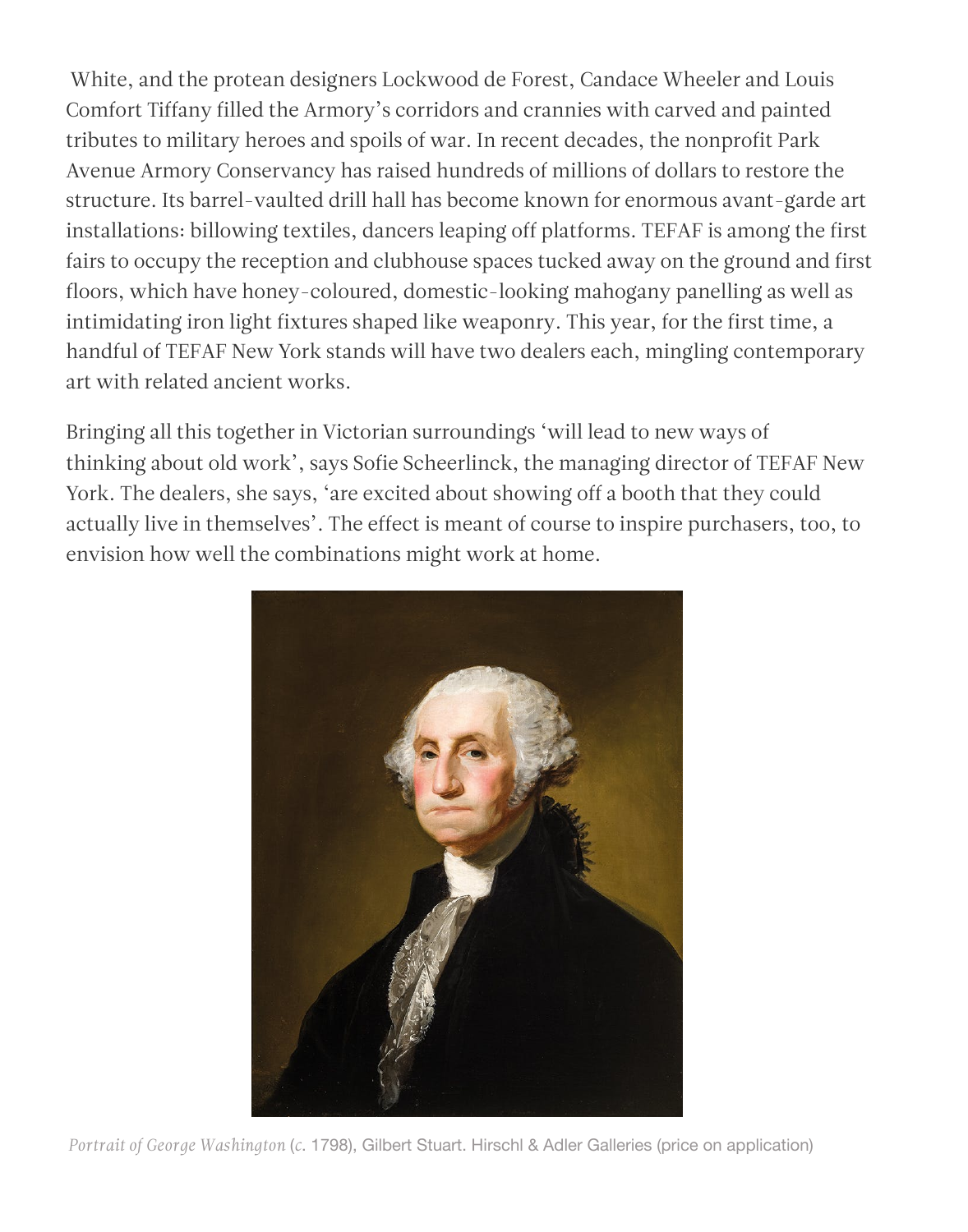White, and the protean designers Lockwood de Forest, Candace Wheeler and Louis Comfort Tiffany filled the Armory's corridors and crannies with carved and painted tributes to military heroes and spoils of war. In recent decades, the nonprofit Park Avenue Armory Conservancy has raised hundreds of millions of dollars to restore the structure. Its barrel-vaulted drill hall has become known for enormous avant-garde art installations: billowing textiles, dancers leaping off platforms. TEFAF is among the first fairs to occupy the reception and clubhouse spaces tucked away on the ground and first floors, which have honey-coloured, domestic-looking mahogany panelling as well as intimidating iron light fixtures shaped like weaponry. This year, for the first time, a handful of TEFAF New York stands will have two dealers each, mingling contemporary art with related ancient works.

Bringing all this together in Victorian surroundings 'will lead to new ways of thinking about old work', says Sofie Scheerlinck, the managing director of TEFAF New York. The dealers, she says, 'are excited about showing off a booth that they could actually live in themselves'. The effect is meant of course to inspire purchasers, too, to envision how well the combinations might work at home.



*Portrait of George Washington* (*c*. 1798), Gilbert Stuart. Hirschl & Adler Galleries (price on application)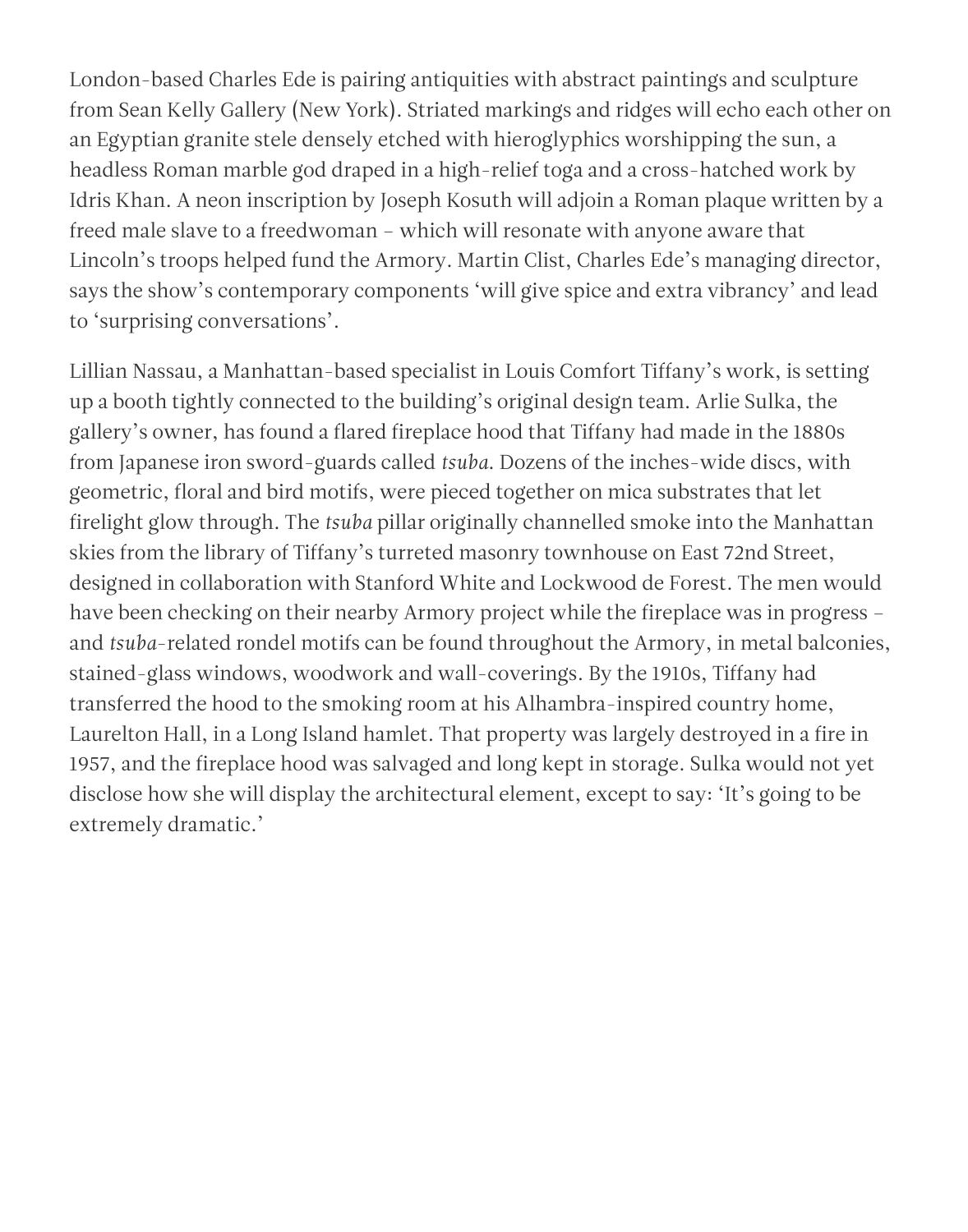London-based Charles Ede is pairing antiquities with abstract paintings and sculpture from Sean Kelly Gallery (New York). Striated markings and ridges will echo each other on an Egyptian granite stele densely etched with hieroglyphics worshipping the sun, a headless Roman marble god draped in a high-relief toga and a cross-hatched work by Idris Khan. A neon inscription by Joseph Kosuth will adjoin a Roman plaque written by a freed male slave to a freedwoman – which will resonate with anyone aware that Lincoln's troops helped fund the Armory. Martin Clist, Charles Ede's managing director, says the show's contemporary components 'will give spice and extra vibrancy' and lead to 'surprising conversations'.

Lillian Nassau, a Manhattan-based specialist in Louis Comfort Tiffany's work, is setting up a booth tightly connected to the building's original design team. Arlie Sulka, the gallery's owner, has found a flared fireplace hood that Tiffany had made in the 1880s from Japanese iron sword-guards called *tsuba*. Dozens of the inches-wide discs, with geometric, floral and bird motifs, were pieced together on mica substrates that let firelight glow through. The *tsuba* pillar originally channelled smoke into the Manhattan skies from the library of Tiffany's turreted masonry townhouse on East 72nd Street, designed in collaboration with Stanford White and Lockwood de Forest. The men would have been checking on their nearby Armory project while the fireplace was in progress – and *tsuba*-related rondel motifs can be found throughout the Armory, in metal balconies, stained-glass windows, woodwork and wall-coverings. By the 1910s, Tiffany had transferred the hood to the smoking room at his Alhambra-inspired country home, Laurelton Hall, in a Long Island hamlet. That property was largely destroyed in a fire in

1957, and the fireplace hood was salvaged and long kept in storage. Sulka would not yet disclose how she will display the architectural element, except to say: 'It's going to be extremely dramatic.'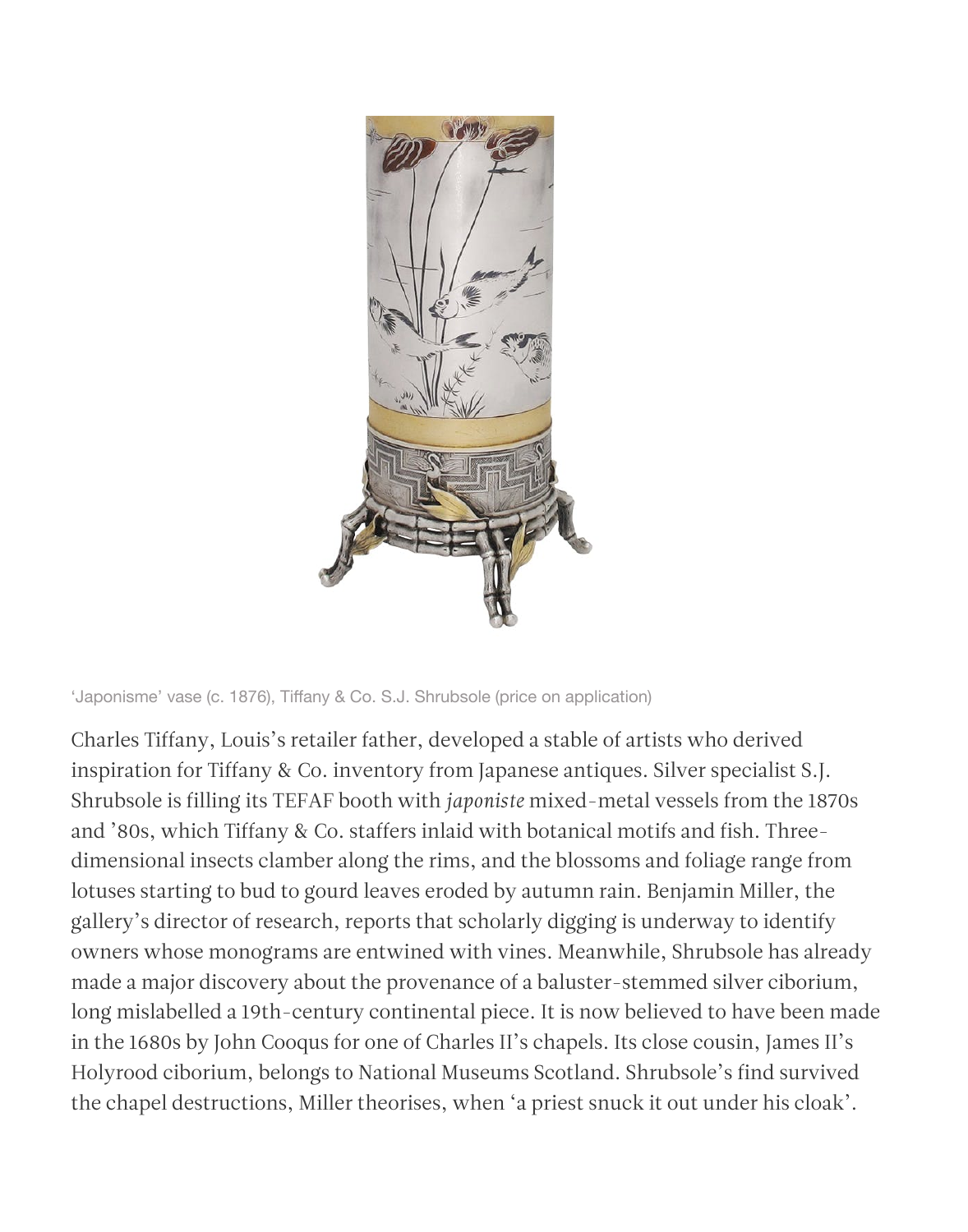

'Japonisme' vase (c. 1876), Tiffany & Co. S.J. Shrubsole (price on application)

## [Charl](https://twitter.com/intent/tweet?url=https://www.apollo-magazine.com/tefaf-new-york-fall-2019/&text=TEFAF%20New%20York%20makes%20the%20most%20of%20being%20in%20the%20Park%20Avenue%20Armory)es Tiffany, Louis's retailer father, developed a s[table of ar](https://facebook.com/sharer.php?u=https://www.apollo-magazine.com/tefaf-new-york-fall-2019/)tists who derived

[inspir](https://www.linkedin.com/shareArticle?url=https://www.apollo-magazine.com/tefaf-new-york-fall-2019/)ation for Tiffany & Co. inventory from Japanes[e antiqu](mailto:?subject=TEFAF%20New%20York%20makes%20the%20most%20of%20being%20in%20the%20Park%20Avenue%20Armory&body=Read%20TEFAF%20New%20York%20makes%20the%20most%20of%20being%20in%20the%20Park%20Avenue%20Armory%20-%20https://www.apollo-magazine.com/tefaf-new-york-fall-2019/)es. Silver specialist S.J. Shrubsole is filling its TEFAF booth with *japoniste* mixed-metal vessels from the 1870s and '80s, which Tiffany & Co. staffers inlaid with botanical motifs and fish. Threedimensional insects clamber along the rims, and the blossoms and foliage range from lotuses starting to bud to gourd leaves eroded by autumn rain. Benjamin Miller, the gallery's director of research, reports that scholarly digging is underway to identify owners whose monograms are entwined with vines. Meanwhile, Shrubsole has already made a major discovery about the provenance of a baluster-stemmed silver ciborium, long mislabelled a 19th-century continental piece. It is now believed to have been made in the 1680s by John Cooqus for one of Charles II's chapels. Its close cousin, James II's Holyrood ciborium, belongs to National Museums Scotland. Shrubsole's find survived the chapel destructions, Miller theorises, when 'a priest snuck it out under his cloak'.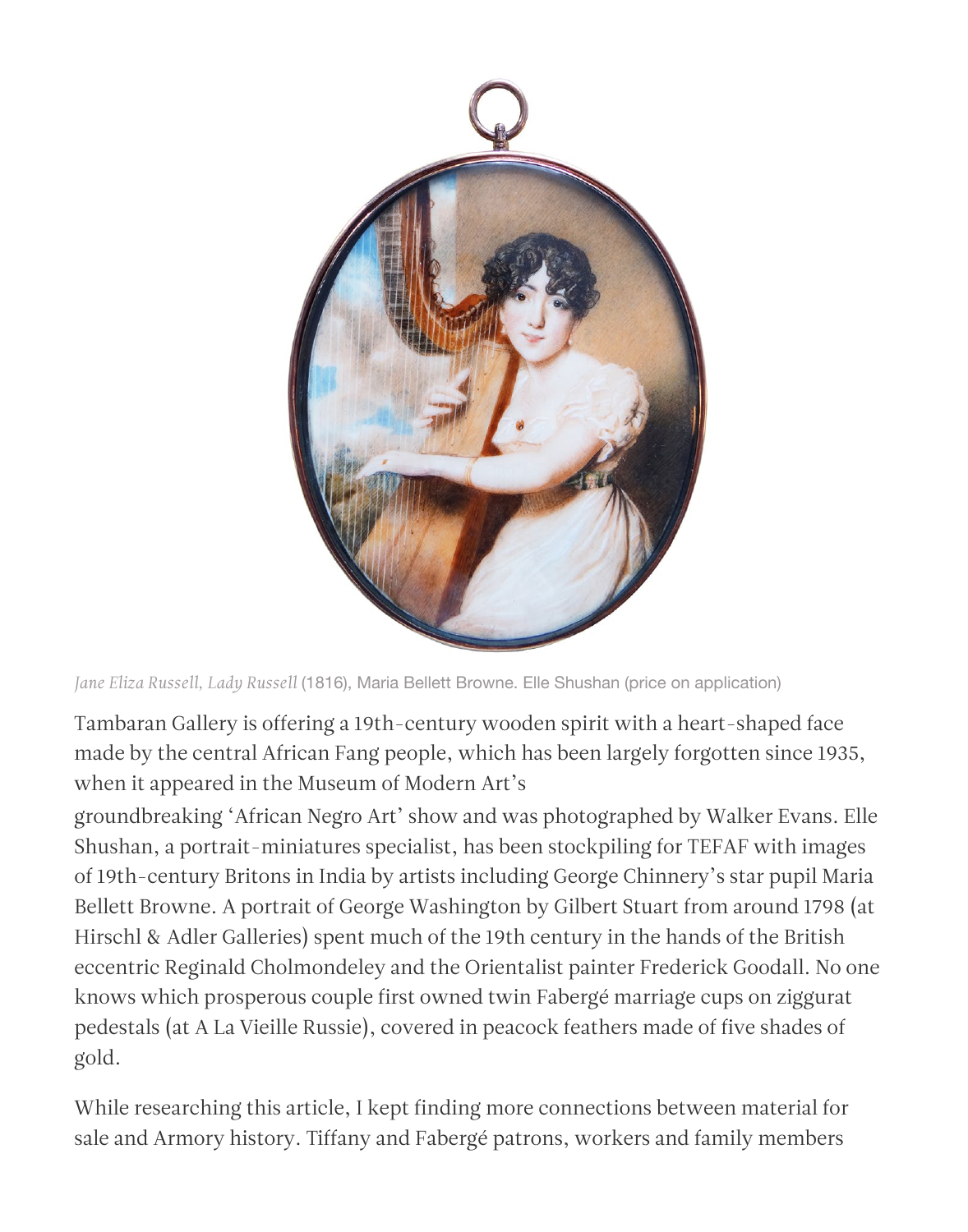groundbreaking 'African Negro Art' show and was photographed by Walker Evans. Elle Shushan, a portrait-miniatures specialist, has been stockpiling for TEFAF with images of 19th-century Britons in India by artists including George Chinnery's star pupil Maria Bellett Browne. A portrait of George Washington by Gilbert Stuart from around 1798 (at Hirschl & Adler Galleries) spent much of the 19th century in the hands of the British eccentric Reginald Cholmondeley and the Orientalist painter Frederick Goodall. No one knows which prosperous couple first owned twin Fabergé marriage cups on ziggurat pedestals (at A La Vieille Russie), covered in peacock feathers made of five shades of gold.

While researching this article, I kept finding more connections between material for sale and Armory history. Tiffany and Fabergé patrons, workers and family members



*Jane Eliza Russell, Lady Russell* (1816), Maria Bellett Browne. Elle Shushan (price on application)

Tambaran Gallery is offering a 19th-century wooden spirit with a heart-shaped face made by the central African Fang people, which has been largely forgotten since 1935, when it appeared in the Museum of Modern Art's